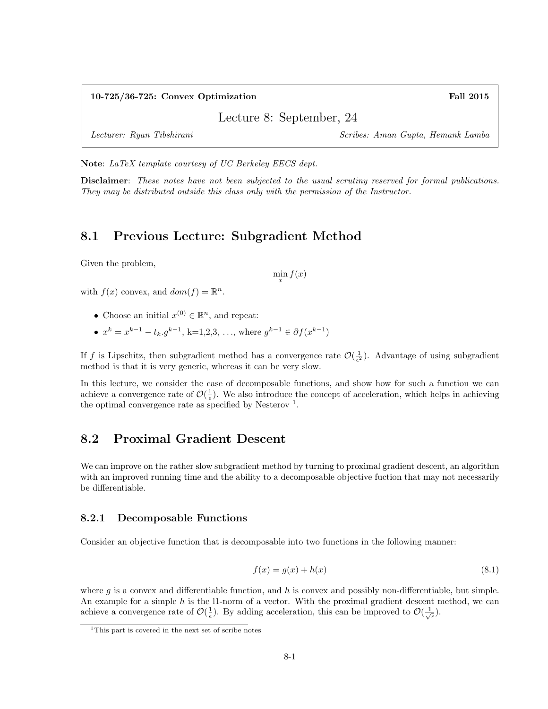#### 10-725/36-725: Convex Optimization Fall 2015

Lecture 8: September, 24

Lecturer: Ryan Tibshirani Scribes: Aman Gupta, Hemank Lamba

Note: LaTeX template courtesy of UC Berkeley EECS dept.

Disclaimer: These notes have not been subjected to the usual scrutiny reserved for formal publications. They may be distributed outside this class only with the permission of the Instructor.

## 8.1 Previous Lecture: Subgradient Method

Given the problem,

 $\min_{x} f(x)$ 

with  $f(x)$  convex, and  $dom(f) = \mathbb{R}^n$ .

- Choose an initial  $x^{(0)} \in \mathbb{R}^n$ , and repeat:
- $x^k = x^{k-1} t_k g^{k-1}$ , k=1,2,3, ..., where  $g^{k-1} \in \partial f(x^{k-1})$

If f is Lipschitz, then subgradient method has a convergence rate  $\mathcal{O}(\frac{1}{\epsilon^2})$ . Advantage of using subgradient method is that it is very generic, whereas it can be very slow.

In this lecture, we consider the case of decomposable functions, and show how for such a function we can achieve a convergence rate of  $\mathcal{O}(\frac{1}{\epsilon})$ . We also introduce the concept of acceleration, which helps in achieving the optimal convergence rate as specified by Nesterov<sup>1</sup>.

## 8.2 Proximal Gradient Descent

We can improve on the rather slow subgradient method by turning to proximal gradient descent, an algorithm with an improved running time and the ability to a decomposable objective fuction that may not necessarily be differentiable.

#### 8.2.1 Decomposable Functions

Consider an objective function that is decomposable into two functions in the following manner:

$$
f(x) = g(x) + h(x) \tag{8.1}
$$

where  $g$  is a convex and differentiable function, and  $h$  is convex and possibly non-differentiable, but simple. An example for a simple  $h$  is the 11-norm of a vector. With the proximal gradient descent method, we can achieve a convergence rate of  $\mathcal{O}(\frac{1}{\epsilon})$ . By adding acceleration, this can be improved to  $\mathcal{O}(\frac{1}{\sqrt{\epsilon}})$ .

<sup>1</sup>This part is covered in the next set of scribe notes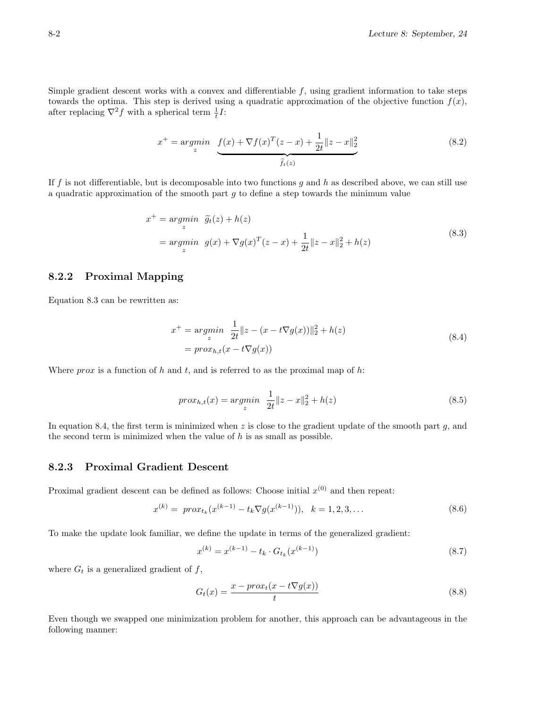Simple gradient descent works with a convex and differentiable  $f$ , using gradient information to take steps towards the optima. This step is derived using a quadratic approximation of the objective function  $f(x)$ , after replacing  $\nabla^2 f$  with a spherical term  $\frac{1}{t}I$ :

$$
x^{+} = \underset{z}{\operatorname{argmin}} \underbrace{f(x) + \nabla f(x)^{T} (z - x) + \frac{1}{2t} \|z - x\|_{2}^{2}}_{\widetilde{f}_{t}(z)}
$$
(8.2)

If f is not differentiable, but is decomposable into two functions  $g$  and  $h$  as described above, we can still use a quadratic approximation of the smooth part  $q$  to define a step towards the minimum value

$$
x^{+} = \underset{z}{\operatorname{argmin}} \quad \widetilde{g}_{t}(z) + h(z)
$$
\n
$$
= \underset{z}{\operatorname{argmin}} \quad g(x) + \nabla g(x)^{T} (z - x) + \frac{1}{2t} \|z - x\|_{2}^{2} + h(z)
$$
\n(8.3)

### 8.2.2 Proximal Mapping

Equation 8.3 can be rewritten as:

$$
x^{+} = \underset{z}{\operatorname{argmin}} \frac{1}{2t} \|z - (x - t\nabla g(x))\|_{2}^{2} + h(z)
$$
  
=  $\operatorname{prox}_{h,t}(x - t\nabla g(x))$  (8.4)

Where  $prox$  is a function of h and t, and is referred to as the proximal map of h:

$$
prox_{h,t}(x) = \underset{z}{\operatorname{argmin}} \ \frac{1}{2t} \|z - x\|_2^2 + h(z) \tag{8.5}
$$

In equation 8.4, the first term is minimized when  $z$  is close to the gradient update of the smooth part  $g$ , and the second term is minimized when the value of  $h$  is as small as possible.

### 8.2.3 Proximal Gradient Descent

Proximal gradient descent can be defined as follows: Choose initial  $x^{(0)}$  and then repeat:

$$
x^{(k)} = prox_{t_k} (x^{(k-1)} - t_k \nabla g(x^{(k-1)})), \quad k = 1, 2, 3, \dots
$$
\n(8.6)

To make the update look familiar, we define the update in terms of the generalized gradient:

$$
x^{(k)} = x^{(k-1)} - t_k \cdot G_{t_k}(x^{(k-1)})
$$
\n(8.7)

where  $G_t$  is a generalized gradient of f,

$$
G_t(x) = \frac{x - prox_t(x - t\nabla g(x))}{t}
$$
\n(8.8)

Even though we swapped one minimization problem for another, this approach can be advantageous in the following manner: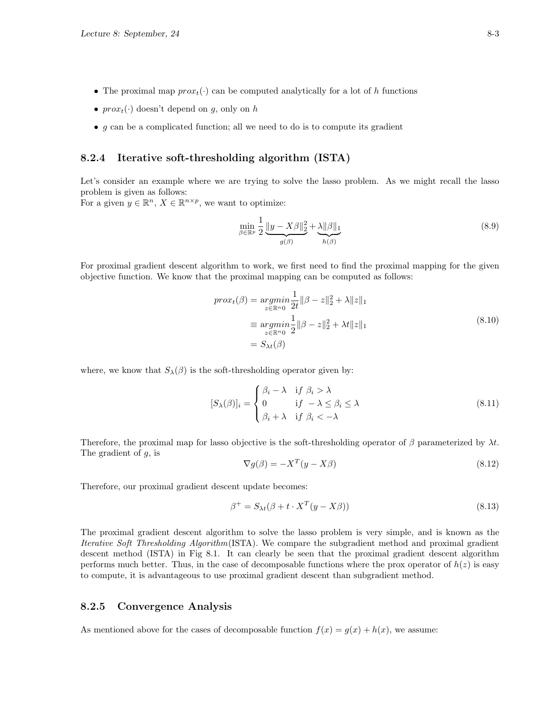- The proximal map  $prox<sub>t</sub>(.)$  can be computed analytically for a lot of h functions
- $prox_t(\cdot)$  doesn't depend on g, only on h
- $g$  can be a complicated function; all we need to do is to compute its gradient

### 8.2.4 Iterative soft-thresholding algorithm (ISTA)

Let's consider an example where we are trying to solve the lasso problem. As we might recall the lasso problem is given as follows:

For a given  $y \in \mathbb{R}^n$ ,  $X \in \mathbb{R}^{n \times p}$ , we want to optimize:

$$
\min_{\beta \in \mathbb{R}^p} \frac{1}{2} \underbrace{\|y - X\beta\|_2^2}_{g(\beta)} + \underbrace{\lambda \|\beta\|_1}_{h(\beta)} \tag{8.9}
$$

For proximal gradient descent algorithm to work, we first need to find the proximal mapping for the given objective function. We know that the proximal mapping can be computed as follows:

$$
proxt(\beta) = \underset{z \in \mathbb{R}^{n_0}}{\operatorname{argmin}} \frac{1}{2t} ||\beta - z||_2^2 + \lambda ||z||_1
$$
  
\n
$$
\equiv \underset{z \in \mathbb{R}^{n_0}}{\operatorname{argmin}} \frac{1}{2} ||\beta - z||_2^2 + \lambda t ||z||_1
$$
  
\n
$$
= S_{\lambda t}(\beta)
$$
\n(8.10)

where, we know that  $S_{\lambda}(\beta)$  is the soft-thresholding operator given by:

$$
[S_{\lambda}(\beta)]_i = \begin{cases} \beta_i - \lambda & \text{if } \beta_i > \lambda \\ 0 & \text{if } -\lambda \le \beta_i \le \lambda \\ \beta_i + \lambda & \text{if } \beta_i < -\lambda \end{cases}
$$
 (8.11)

Therefore, the proximal map for lasso objective is the soft-thresholding operator of  $\beta$  parameterized by  $\lambda t$ . The gradient of  $g$ , is

$$
\nabla g(\beta) = -X^T (y - X\beta) \tag{8.12}
$$

Therefore, our proximal gradient descent update becomes:

$$
\beta^+ = S_{\lambda t} (\beta + t \cdot X^T (y - X\beta)) \tag{8.13}
$$

The proximal gradient descent algorithm to solve the lasso problem is very simple, and is known as the Iterative Soft Thresholding Algorithm(ISTA). We compare the subgradient method and proximal gradient descent method (ISTA) in Fig 8.1. It can clearly be seen that the proximal gradient descent algorithm performs much better. Thus, in the case of decomposable functions where the prox operator of  $h(z)$  is easy to compute, it is advantageous to use proximal gradient descent than subgradient method.

### 8.2.5 Convergence Analysis

As mentioned above for the cases of decomposable function  $f(x) = g(x) + h(x)$ , we assume: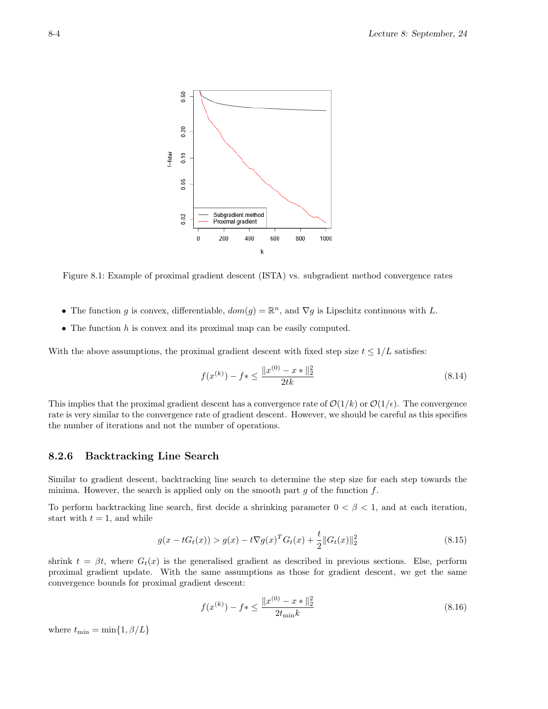

Figure 8.1: Example of proximal gradient descent (ISTA) vs. subgradient method convergence rates

- The function g is convex, differentiable,  $dom(g) = \mathbb{R}^n$ , and  $\nabla g$  is Lipschitz continuous with L.
- The function  $h$  is convex and its proximal map can be easily computed.

With the above assumptions, the proximal gradient descent with fixed step size  $t \leq 1/L$  satisfies:

$$
f(x^{(k)}) - f* \le \frac{\|x^{(0)} - x*\|_2^2}{2tk} \tag{8.14}
$$

This implies that the proximal gradient descent has a convergence rate of  $\mathcal{O}(1/k)$  or  $\mathcal{O}(1/\epsilon)$ . The convergence rate is very similar to the convergence rate of gradient descent. However, we should be careful as this specifies the number of iterations and not the number of operations.

### 8.2.6 Backtracking Line Search

Similar to gradient descent, backtracking line search to determine the step size for each step towards the minima. However, the search is applied only on the smooth part  $g$  of the function  $f$ .

To perform backtracking line search, first decide a shrinking parameter  $0 < \beta < 1$ , and at each iteration, start with  $t = 1$ , and while

$$
g(x - tG_t(x)) > g(x) - t\nabla g(x)^T G_t(x) + \frac{t}{2} ||G_t(x)||_2^2
$$
\n(8.15)

shrink  $t = \beta t$ , where  $G_t(x)$  is the generalised gradient as described in previous sections. Else, perform proximal gradient update. With the same assumptions as those for gradient descent, we get the same convergence bounds for proximal gradient descent:

$$
f(x^{(k)}) - f* \le \frac{\|x^{(0)} - x*\|_2^2}{2t_{\min}k}
$$
\n(8.16)

where  $t_{\min} = \min\{1, \beta/L\}$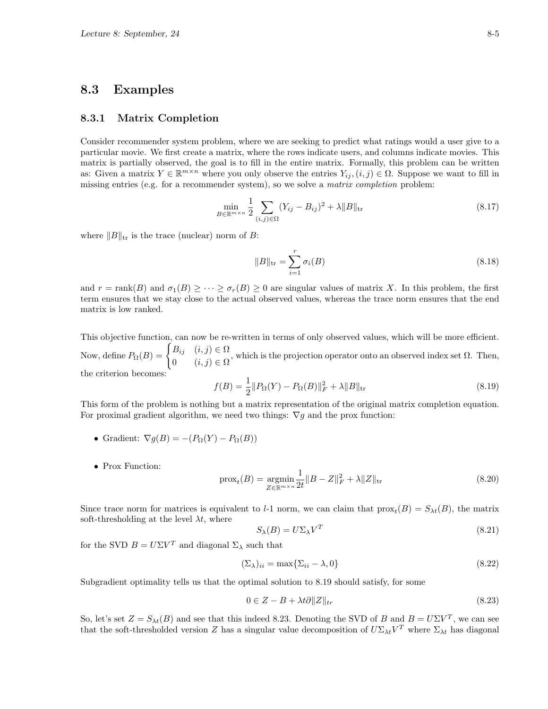### 8.3 Examples

### 8.3.1 Matrix Completion

Consider recommender system problem, where we are seeking to predict what ratings would a user give to a particular movie. We first create a matrix, where the rows indicate users, and columns indicate movies. This matrix is partially observed, the goal is to fill in the entire matrix. Formally, this problem can be written as: Given a matrix  $Y \in \mathbb{R}^{m \times n}$  where you only observe the entries  $Y_{ij}$ ,  $(i, j) \in \Omega$ . Suppose we want to fill in missing entries (e.g. for a recommender system), so we solve a *matrix completion* problem:

$$
\min_{B \in \mathbb{R}^{m \times n}} \frac{1}{2} \sum_{(i,j) \in \Omega} (Y_{ij} - B_{ij})^2 + \lambda \|B\|_{\text{tr}} \tag{8.17}
$$

where  $||B||_{tr}$  is the trace (nuclear) norm of B:

$$
||B||_{\text{tr}} = \sum_{i=1}^{r} \sigma_i(B)
$$
\n(8.18)

and  $r = \text{rank}(B)$  and  $\sigma_1(B) \geq \cdots \geq \sigma_r(B) \geq 0$  are singular values of matrix X. In this problem, the first term ensures that we stay close to the actual observed values, whereas the trace norm ensures that the end matrix is low ranked.

This objective function, can now be re-written in terms of only observed values, which will be more efficient. Now, define  $P_{\Omega}(B) = \begin{cases} B_{ij} & (i, j) \in \Omega \\ 0 & (i, j) \in \Omega \end{cases}$  $\begin{bmatrix} 0 & i,j \end{bmatrix} \in \Omega$ , which is the projection operator onto an observed index set  $\Omega$ . Then, the criterion becomes:

$$
f(B) = \frac{1}{2} \| P_{\Omega}(Y) - P_{\Omega}(B) \|_{F}^{2} + \lambda \| B \|_{\text{tr}} \tag{8.19}
$$

This form of the problem is nothing but a matrix representation of the original matrix completion equation. For proximal gradient algorithm, we need two things:  $\nabla g$  and the prox function:

- Gradient:  $\nabla g(B) = -(P_{\Omega}(Y) P_{\Omega}(B))$
- Prox Function:

$$
\text{prox}_{t}(B) = \underset{Z \in \mathbb{R}^{m \times n}}{\text{argmin}} \frac{1}{2t} \|B - Z\|_{F}^{2} + \lambda \|Z\|_{\text{tr}} \tag{8.20}
$$

Since trace norm for matrices is equivalent to  $l$ -1 norm, we can claim that  $prox<sub>t</sub>(B) = S<sub>\lambda t</sub>(B)$ , the matrix soft-thresholding at the level  $\lambda t$ , where

$$
S_{\lambda}(B) = U\Sigma_{\lambda}V^{T}
$$
\n(8.21)

for the SVD  $B = U\Sigma V^T$  and diagonal  $\Sigma_{\lambda}$  such that

$$
(\Sigma_{\lambda})_{ii} = \max\{\Sigma_{ii} - \lambda, 0\}
$$
\n(8.22)

Subgradient optimality tells us that the optimal solution to 8.19 should satisfy, for some

$$
0 \in Z - B + \lambda t \partial \|Z\|_{tr} \tag{8.23}
$$

So, let's set  $Z = S_{\lambda t}(B)$  and see that this indeed 8.23. Denoting the SVD of B and  $B = U\Sigma V^T$ , we can see that the soft-thresholded version Z has a singular value decomposition of  $U\Sigma_{\lambda t}V^T$  where  $\Sigma_{\lambda t}$  has diagonal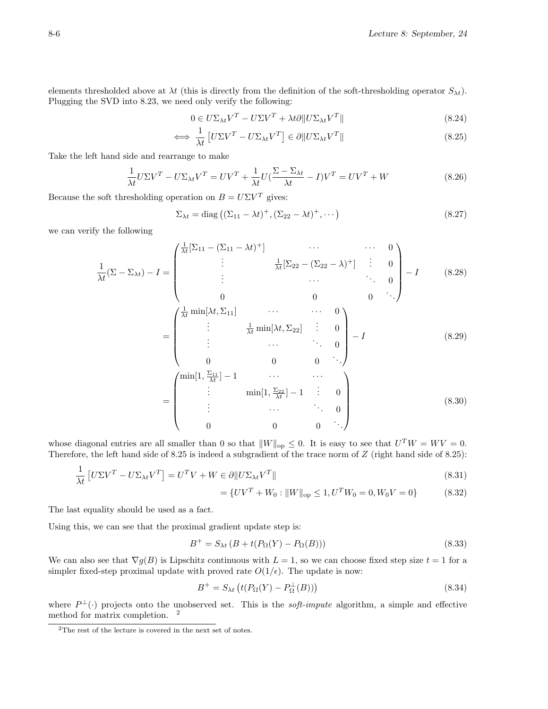elements thresholded above at  $\lambda t$  (this is directly from the definition of the soft-thresholding operator  $S_{\lambda t}$ ). Plugging the SVD into 8.23, we need only verify the following:

$$
0 \in U\Sigma_{\lambda t}V^T - U\Sigma V^T + \lambda t \partial \|U\Sigma_{\lambda t}V^T\|
$$
\n(8.24)

$$
\iff \frac{1}{\lambda t} \left[ U \Sigma V^T - U \Sigma_{\lambda t} V^T \right] \in \partial \| U \Sigma_{\lambda t} V^T \| \tag{8.25}
$$

Take the left hand side and rearrange to make

$$
\frac{1}{\lambda t} U \Sigma V^T - U \Sigma_{\lambda t} V^T = U V^T + \frac{1}{\lambda t} U (\frac{\Sigma - \Sigma_{\lambda t}}{\lambda t} - I) V^T = U V^T + W \tag{8.26}
$$

Because the soft thresholding operation on  $B = U\Sigma V^T$  gives:

$$
\Sigma_{\lambda t} = \text{diag}\left( (\Sigma_{11} - \lambda t)^+, (\Sigma_{22} - \lambda t)^+, \cdots \right) \tag{8.27}
$$

we can verify the following

$$
\frac{1}{\lambda t}(\Sigma - \Sigma_{\lambda t}) - I = \begin{pmatrix}\n\frac{1}{\lambda t}[\Sigma_{11} - (\Sigma_{11} - \lambda t)^+] & \cdots & \cdots & 0 \\
\vdots & \frac{1}{\lambda t}[\Sigma_{22} - (\Sigma_{22} - \lambda)^+] & \vdots & 0 \\
\vdots & \cdots & \ddots & 0 \\
0 & 0 & 0 & \ddots\n\end{pmatrix} - I \qquad (8.28)
$$
\n
$$
= \begin{pmatrix}\n\frac{1}{\lambda t} \min[\lambda t, \Sigma_{11}] & \cdots & \cdots & 0 \\
\vdots & \frac{1}{\lambda t} \min[\lambda t, \Sigma_{22}] & \vdots & 0 \\
\vdots & \cdots & \ddots & 0 \\
0 & 0 & 0 & \ddots\n\end{pmatrix} - I \qquad (8.29)
$$
\n
$$
= \begin{pmatrix}\n\min[1, \frac{\Sigma_{11}}{\lambda t}] - 1 & \cdots & \cdots & \cdots \\
\vdots & \min[1, \frac{\Sigma_{22}}{\lambda t}] - 1 & \vdots & 0 \\
\vdots & \cdots & \ddots & 0 \\
0 & 0 & 0 & \cdots\n\end{pmatrix} \qquad (8.30)
$$

whose diagonal entries are all smaller than 0 so that  $||W||_{op} \leq 0$ . It is easy to see that  $U<sup>T</sup>W = WV = 0$ . Therefore, the left hand side of  $8.25$  is indeed a subgradient of the trace norm of  $Z$  (right hand side of  $8.25$ ):

$$
\frac{1}{\lambda t} \left[ U \Sigma V^{T} - U \Sigma_{\lambda t} V^{T} \right] = U^{T} V + W \in \partial \| U \Sigma_{\lambda t} V^{T} \|
$$
\n
$$
= \{ U V^{T} + W_{0} : \| W \|_{\text{op}} \leq 1, U^{T} W_{0} = 0, W_{0} V = 0 \}
$$
\n(8.31)

The last equality should be used as a fact.

Using this, we can see that the proximal gradient update step is:

$$
B^{+} = S_{\lambda t} \left( B + t(P_{\Omega}(Y) - P_{\Omega}(B)) \right) \tag{8.33}
$$

We can also see that  $\nabla g(B)$  is Lipschitz continuous with  $L = 1$ , so we can choose fixed step size  $t = 1$  for a simpler fixed-step proximal update with proved rate  $O(1/\epsilon)$ . The update is now:

$$
B^{+} = S_{\lambda t} \left( t(P_{\Omega}(Y) - P_{\Omega}^{\perp}(B)) \right) \tag{8.34}
$$

where  $P^{\perp}(\cdot)$  projects onto the unobserved set. This is the *soft-impute* algorithm, a simple and effective method for matrix completion. <sup>2</sup>

 $2$ The rest of the lecture is covered in the next set of notes.